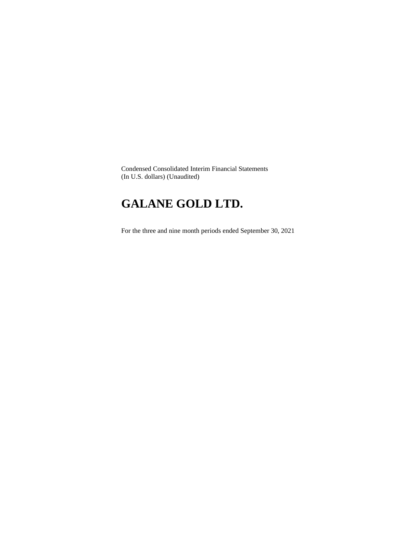Condensed Consolidated Interim Financial Statements (In U.S. dollars) (Unaudited)

# **GALANE GOLD LTD.**

For the three and nine month periods ended September 30, 2021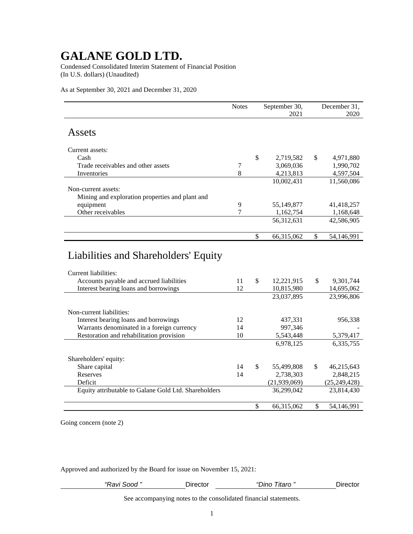Condensed Consolidated Interim Statement of Financial Position (In U.S. dollars) (Unaudited)

As at September 30, 2021 and December 31, 2020

|                                                                  | <b>Notes</b> |    | September 30,<br>2021 |    | December 31,<br>2020 |
|------------------------------------------------------------------|--------------|----|-----------------------|----|----------------------|
| Assets                                                           |              |    |                       |    |                      |
|                                                                  |              |    |                       |    |                      |
| Current assets:                                                  |              |    |                       |    |                      |
| Cash                                                             |              | \$ | 2,719,582             | \$ | 4,971,880            |
| Trade receivables and other assets                               | 7            |    | 3,069,036             |    | 1,990,702            |
| Inventories                                                      | 8            |    | 4,213,813             |    | 4,597,504            |
|                                                                  |              |    | 10,002,431            |    | 11,560,086           |
| Non-current assets:                                              |              |    |                       |    |                      |
| Mining and exploration properties and plant and                  |              |    |                       |    |                      |
| equipment                                                        | 9            |    | 55,149,877            |    | 41,418,257           |
| Other receivables                                                | 7            |    | 1,162,754             |    | 1,168,648            |
|                                                                  |              |    |                       |    |                      |
|                                                                  |              |    | 56, 312, 631          |    | 42,586,905           |
|                                                                  |              | \$ | 66,315,062            | \$ | 54,146,991           |
|                                                                  |              |    |                       |    |                      |
| Liabilities and Shareholders' Equity                             |              |    |                       |    |                      |
| Current liabilities:<br>Accounts payable and accrued liabilities | 11           | ¢  | 12.221.015            | ¢  | 0.301.744            |

| 11 | \$<br>12,221,915 | \$  | 9,301,744      |
|----|------------------|-----|----------------|
| 12 | 10,815,980       |     | 14,695,062     |
|    | 23,037,895       |     | 23,996,806     |
|    |                  |     |                |
|    |                  |     |                |
| 12 | 437,331          |     | 956,338        |
| 14 | 997.346          |     |                |
| 10 | 5,543,448        |     | 5,379,417      |
|    | 6,978,125        |     | 6,335,755      |
|    |                  |     |                |
|    |                  |     |                |
| 14 | \$<br>55,499,808 | \$. | 46,215,643     |
| 14 | 2,738,303        |     | 2,848,215      |
|    | (21, 939, 069)   |     | (25, 249, 428) |
|    | 36,299,042       |     | 23,814,430     |
|    |                  |     |                |
|    | \$<br>66,315,062 |     | 54,146,991     |
|    |                  |     |                |

Going concern (note 2)

Approved and authorized by the Board for issue on November 15, 2021:

| "Ravi Sood " | שווכΩ | ıtaro<br>onno | Director∟ |
|--------------|-------|---------------|-----------|
|              |       |               |           |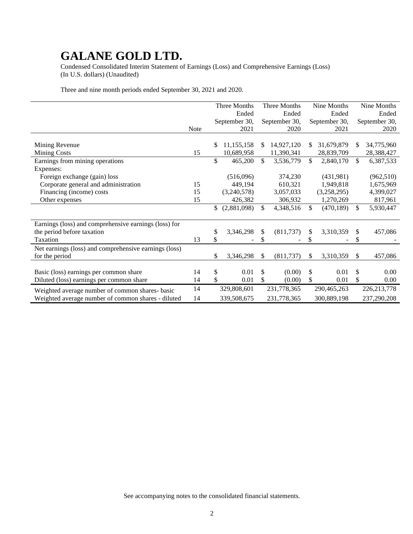Condensed Consolidated Interim Statement of Earnings (Loss) and Comprehensive Earnings (Loss) (In U.S. dollars) (Unaudited)

Three and nine month periods ended September 30, 2021 and 2020.

|                                                       |             |    | Three Months  |     | Three Months  | Nine Months      |     | Nine Months   |
|-------------------------------------------------------|-------------|----|---------------|-----|---------------|------------------|-----|---------------|
|                                                       |             |    | Ended         |     | Ended         | Ended            |     | Ended         |
|                                                       |             |    | September 30, |     | September 30, | September 30,    |     | September 30, |
|                                                       | <b>Note</b> |    | 2021          |     | 2020          | 2021             |     | 2020          |
|                                                       |             |    |               |     |               |                  |     |               |
| Mining Revenue                                        |             | S  | 11,155,158    | \$. | 14,927,120    | \$<br>31,679,879 | \$. | 34,775,960    |
| <b>Mining Costs</b>                                   | 15          |    | 10,689,958    |     | 11,390,341    | 28,839,709       |     | 28,388,427    |
| Earnings from mining operations                       |             | \$ | 465,200       | \$  | 3,536,779     | \$<br>2,840,170  | \$  | 6,387,533     |
| Expenses:                                             |             |    |               |     |               |                  |     |               |
| Foreign exchange (gain) loss                          |             |    | (516,096)     |     | 374,230       | (431,981)        |     | (962, 510)    |
| Corporate general and administration                  | 15          |    | 449,194       |     | 610,321       | 1,949,818        |     | 1,675,969     |
| Financing (income) costs                              | 15          |    | (3,240,578)   |     | 3,057,033     | (3,258,295)      |     | 4,399,027     |
| Other expenses                                        | 15          |    | 426,382       |     | 306,932       | 1,270,269        |     | 817,961       |
|                                                       |             | \$ | (2,881,098)   | \$  | 4,348,516     | \$<br>(470, 189) | \$  | 5,930,447     |
|                                                       |             |    |               |     |               |                  |     |               |
| Earnings (loss) and comprehensive earnings (loss) for |             |    |               |     |               |                  |     |               |
| the period before taxation                            |             | \$ | 3,346,298     | \$  | (811, 737)    | \$<br>3,310,359  | \$  | 457,086       |
| Taxation                                              | 13          |    |               |     |               |                  | \$  |               |
| Net earnings (loss) and comprehensive earnings (loss) |             |    |               |     |               |                  |     |               |
| for the period                                        |             | \$ | 3,346,298     | \$  | (811, 737)    | \$<br>3,310,359  | \$  | 457,086       |
|                                                       |             |    |               |     |               |                  |     |               |
| Basic (loss) earnings per common share                | 14          | \$ | 0.01          | \$  | (0.00)        | \$<br>0.01       | \$  | 0.00          |
| Diluted (loss) earnings per common share              | 14          | \$ | 0.01          | \$  | (0.00)        | \$<br>0.01       | \$  | 0.00          |
| Weighted average number of common shares-basic        | 14          |    | 329,808,601   |     | 231,778,365   | 290,465,263      |     | 226, 213, 778 |
| Weighted average number of common shares - diluted    | 14          |    | 339,508,675   |     | 231,778,365   | 300,889,198      |     | 237,290,208   |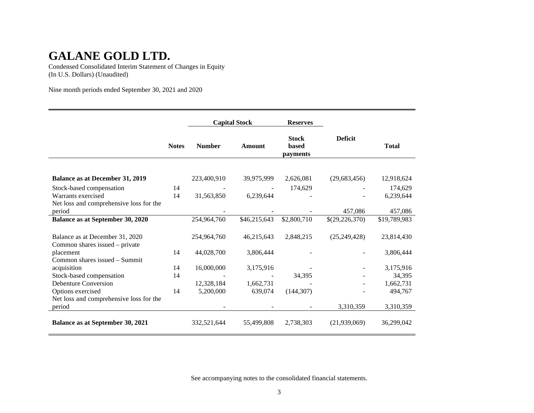Condensed Consolidated Interim Statement of Changes in Equity (In U.S. Dollars) (Unaudited)

Nine month periods ended September 30, 2021 and 2020

|                                         |              | <b>Capital Stock</b> |               | <b>Reserves</b>                          |                |              |
|-----------------------------------------|--------------|----------------------|---------------|------------------------------------------|----------------|--------------|
|                                         | <b>Notes</b> | <b>Number</b>        | <b>Amount</b> | <b>Stock</b><br><b>based</b><br>payments | <b>Deficit</b> | <b>Total</b> |
| <b>Balance as at December 31, 2019</b>  |              | 223,400,910          | 39,975,999    | 2,626,081                                | (29, 683, 456) | 12,918,624   |
|                                         |              |                      |               |                                          |                |              |
| Stock-based compensation                | 14           |                      |               | 174,629                                  |                | 174,629      |
| Warrants exercised                      | 14           | 31,563,850           | 6,239,644     |                                          |                | 6,239,644    |
| Net loss and comprehensive loss for the |              |                      |               |                                          |                |              |
| period                                  |              |                      |               |                                          | 457,086        | 457,086      |
| Balance as at September 30, 2020        |              | 254,964,760          | \$46,215,643  | \$2,800,710                              | \$(29,226,370) | \$19,789,983 |
|                                         |              |                      |               |                                          |                |              |
| Balance as at December 31, 2020         |              | 254,964,760          | 46,215,643    | 2,848,215                                | (25, 249, 428) | 23,814,430   |
| Common shares issued – private          |              |                      |               |                                          |                |              |
| placement                               | 14           | 44,028,700           | 3,806,444     |                                          |                | 3,806,444    |
| Common shares issued - Summit           |              |                      |               |                                          |                |              |
| acquisition                             | 14           | 16,000,000           | 3,175,916     |                                          |                | 3,175,916    |
| Stock-based compensation                | 14           |                      |               | 34,395                                   |                | 34,395       |
| Debenture Conversion                    |              | 12,328,184           | 1,662,731     |                                          |                | 1,662,731    |
| Options exercised                       | 14           | 5,200,000            | 639,074       | (144, 307)                               |                | 494,767      |
| Net loss and comprehensive loss for the |              |                      |               |                                          |                |              |
| period                                  |              |                      |               |                                          | 3,310,359      | 3,310,359    |
| Balance as at September 30, 2021        |              | 332,521,644          | 55,499,808    | 2,738,303                                | (21,939,069)   | 36,299,042   |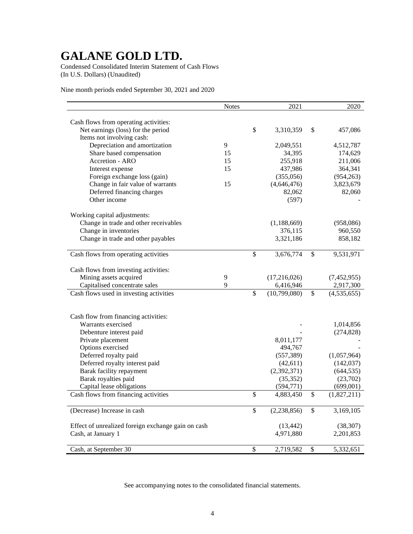Condensed Consolidated Interim Statement of Cash Flows (In U.S. Dollars) (Unaudited)

Nine month periods ended September 30, 2021 and 2020

| Cash flows from operating activities:<br>\$<br>Net earnings (loss) for the period<br>\$<br>3,310,359<br>457,086<br>Items not involving cash:<br>Depreciation and amortization<br>9<br>2,049,551<br>4,512,787<br>Share based compensation<br>15<br>34,395<br>174,629<br>Accretion - ARO<br>255,918<br>211,006<br>15<br>437,986<br>364,341<br>Interest expense<br>15<br>Foreign exchange loss (gain)<br>(355,056)<br>(954, 263)<br>Change in fair value of warrants<br>15<br>(4,646,476)<br>3,823,679<br>Deferred financing charges<br>82,060<br>82,062<br>Other income<br>(597)<br>Working capital adjustments:<br>Change in trade and other receivables<br>(958,086)<br>(1,188,669)<br>Change in inventories<br>376,115<br>960,550<br>Change in trade and other payables<br>3,321,186<br>858,182<br>\$<br>3,676,774<br>\$<br>9,531,971<br>Cash flows from operating activities<br>Cash flows from investing activities:<br>Mining assets acquired<br>9<br>(17,216,026)<br>(7,452,955)<br>9<br>Capitalised concentrate sales<br>6,416,946<br>2,917,300<br>\$<br>$\mathbb{S}$<br>Cash flows used in investing activities<br>(10,799,080)<br>(4,535,655)<br>Cash flow from financing activities:<br>Warrants exercised<br>1,014,856<br>Debenture interest paid<br>(274, 828)<br>8,011,177<br>Private placement<br>Options exercised<br>494,767<br>Deferred royalty paid<br>(557, 389)<br>(1,057,964)<br>Deferred royalty interest paid<br>(42, 611)<br>(142, 037)<br>Barak facility repayment<br>(2,392,371)<br>(644, 535)<br>Barak royalties paid<br>(35, 352)<br>(23,702)<br>Capital lease obligations<br>(594, 771)<br>(699,001)<br>\$<br>Cash flows from financing activities<br>4,883,450<br>\$<br>(1,827,211)<br>\$<br>(Decrease) Increase in cash<br>\$<br>(2, 238, 856)<br>3,169,105<br>Effect of unrealized foreign exchange gain on cash<br>(13, 442)<br>(38, 307)<br>Cash, at January 1<br>4,971,880<br>2,201,853 |                       | <b>Notes</b> | 2021            | 2020            |
|---------------------------------------------------------------------------------------------------------------------------------------------------------------------------------------------------------------------------------------------------------------------------------------------------------------------------------------------------------------------------------------------------------------------------------------------------------------------------------------------------------------------------------------------------------------------------------------------------------------------------------------------------------------------------------------------------------------------------------------------------------------------------------------------------------------------------------------------------------------------------------------------------------------------------------------------------------------------------------------------------------------------------------------------------------------------------------------------------------------------------------------------------------------------------------------------------------------------------------------------------------------------------------------------------------------------------------------------------------------------------------------------------------------------------------------------------------------------------------------------------------------------------------------------------------------------------------------------------------------------------------------------------------------------------------------------------------------------------------------------------------------------------------------------------------------------------------------------------------------------------------------------------------------------------|-----------------------|--------------|-----------------|-----------------|
|                                                                                                                                                                                                                                                                                                                                                                                                                                                                                                                                                                                                                                                                                                                                                                                                                                                                                                                                                                                                                                                                                                                                                                                                                                                                                                                                                                                                                                                                                                                                                                                                                                                                                                                                                                                                                                                                                                                           |                       |              |                 |                 |
|                                                                                                                                                                                                                                                                                                                                                                                                                                                                                                                                                                                                                                                                                                                                                                                                                                                                                                                                                                                                                                                                                                                                                                                                                                                                                                                                                                                                                                                                                                                                                                                                                                                                                                                                                                                                                                                                                                                           |                       |              |                 |                 |
|                                                                                                                                                                                                                                                                                                                                                                                                                                                                                                                                                                                                                                                                                                                                                                                                                                                                                                                                                                                                                                                                                                                                                                                                                                                                                                                                                                                                                                                                                                                                                                                                                                                                                                                                                                                                                                                                                                                           |                       |              |                 |                 |
|                                                                                                                                                                                                                                                                                                                                                                                                                                                                                                                                                                                                                                                                                                                                                                                                                                                                                                                                                                                                                                                                                                                                                                                                                                                                                                                                                                                                                                                                                                                                                                                                                                                                                                                                                                                                                                                                                                                           |                       |              |                 |                 |
|                                                                                                                                                                                                                                                                                                                                                                                                                                                                                                                                                                                                                                                                                                                                                                                                                                                                                                                                                                                                                                                                                                                                                                                                                                                                                                                                                                                                                                                                                                                                                                                                                                                                                                                                                                                                                                                                                                                           |                       |              |                 |                 |
|                                                                                                                                                                                                                                                                                                                                                                                                                                                                                                                                                                                                                                                                                                                                                                                                                                                                                                                                                                                                                                                                                                                                                                                                                                                                                                                                                                                                                                                                                                                                                                                                                                                                                                                                                                                                                                                                                                                           |                       |              |                 |                 |
|                                                                                                                                                                                                                                                                                                                                                                                                                                                                                                                                                                                                                                                                                                                                                                                                                                                                                                                                                                                                                                                                                                                                                                                                                                                                                                                                                                                                                                                                                                                                                                                                                                                                                                                                                                                                                                                                                                                           |                       |              |                 |                 |
|                                                                                                                                                                                                                                                                                                                                                                                                                                                                                                                                                                                                                                                                                                                                                                                                                                                                                                                                                                                                                                                                                                                                                                                                                                                                                                                                                                                                                                                                                                                                                                                                                                                                                                                                                                                                                                                                                                                           |                       |              |                 |                 |
|                                                                                                                                                                                                                                                                                                                                                                                                                                                                                                                                                                                                                                                                                                                                                                                                                                                                                                                                                                                                                                                                                                                                                                                                                                                                                                                                                                                                                                                                                                                                                                                                                                                                                                                                                                                                                                                                                                                           |                       |              |                 |                 |
|                                                                                                                                                                                                                                                                                                                                                                                                                                                                                                                                                                                                                                                                                                                                                                                                                                                                                                                                                                                                                                                                                                                                                                                                                                                                                                                                                                                                                                                                                                                                                                                                                                                                                                                                                                                                                                                                                                                           |                       |              |                 |                 |
|                                                                                                                                                                                                                                                                                                                                                                                                                                                                                                                                                                                                                                                                                                                                                                                                                                                                                                                                                                                                                                                                                                                                                                                                                                                                                                                                                                                                                                                                                                                                                                                                                                                                                                                                                                                                                                                                                                                           |                       |              |                 |                 |
|                                                                                                                                                                                                                                                                                                                                                                                                                                                                                                                                                                                                                                                                                                                                                                                                                                                                                                                                                                                                                                                                                                                                                                                                                                                                                                                                                                                                                                                                                                                                                                                                                                                                                                                                                                                                                                                                                                                           |                       |              |                 |                 |
|                                                                                                                                                                                                                                                                                                                                                                                                                                                                                                                                                                                                                                                                                                                                                                                                                                                                                                                                                                                                                                                                                                                                                                                                                                                                                                                                                                                                                                                                                                                                                                                                                                                                                                                                                                                                                                                                                                                           |                       |              |                 |                 |
|                                                                                                                                                                                                                                                                                                                                                                                                                                                                                                                                                                                                                                                                                                                                                                                                                                                                                                                                                                                                                                                                                                                                                                                                                                                                                                                                                                                                                                                                                                                                                                                                                                                                                                                                                                                                                                                                                                                           |                       |              |                 |                 |
|                                                                                                                                                                                                                                                                                                                                                                                                                                                                                                                                                                                                                                                                                                                                                                                                                                                                                                                                                                                                                                                                                                                                                                                                                                                                                                                                                                                                                                                                                                                                                                                                                                                                                                                                                                                                                                                                                                                           |                       |              |                 |                 |
|                                                                                                                                                                                                                                                                                                                                                                                                                                                                                                                                                                                                                                                                                                                                                                                                                                                                                                                                                                                                                                                                                                                                                                                                                                                                                                                                                                                                                                                                                                                                                                                                                                                                                                                                                                                                                                                                                                                           |                       |              |                 |                 |
|                                                                                                                                                                                                                                                                                                                                                                                                                                                                                                                                                                                                                                                                                                                                                                                                                                                                                                                                                                                                                                                                                                                                                                                                                                                                                                                                                                                                                                                                                                                                                                                                                                                                                                                                                                                                                                                                                                                           |                       |              |                 |                 |
|                                                                                                                                                                                                                                                                                                                                                                                                                                                                                                                                                                                                                                                                                                                                                                                                                                                                                                                                                                                                                                                                                                                                                                                                                                                                                                                                                                                                                                                                                                                                                                                                                                                                                                                                                                                                                                                                                                                           |                       |              |                 |                 |
|                                                                                                                                                                                                                                                                                                                                                                                                                                                                                                                                                                                                                                                                                                                                                                                                                                                                                                                                                                                                                                                                                                                                                                                                                                                                                                                                                                                                                                                                                                                                                                                                                                                                                                                                                                                                                                                                                                                           |                       |              |                 |                 |
|                                                                                                                                                                                                                                                                                                                                                                                                                                                                                                                                                                                                                                                                                                                                                                                                                                                                                                                                                                                                                                                                                                                                                                                                                                                                                                                                                                                                                                                                                                                                                                                                                                                                                                                                                                                                                                                                                                                           |                       |              |                 |                 |
|                                                                                                                                                                                                                                                                                                                                                                                                                                                                                                                                                                                                                                                                                                                                                                                                                                                                                                                                                                                                                                                                                                                                                                                                                                                                                                                                                                                                                                                                                                                                                                                                                                                                                                                                                                                                                                                                                                                           |                       |              |                 |                 |
|                                                                                                                                                                                                                                                                                                                                                                                                                                                                                                                                                                                                                                                                                                                                                                                                                                                                                                                                                                                                                                                                                                                                                                                                                                                                                                                                                                                                                                                                                                                                                                                                                                                                                                                                                                                                                                                                                                                           |                       |              |                 |                 |
|                                                                                                                                                                                                                                                                                                                                                                                                                                                                                                                                                                                                                                                                                                                                                                                                                                                                                                                                                                                                                                                                                                                                                                                                                                                                                                                                                                                                                                                                                                                                                                                                                                                                                                                                                                                                                                                                                                                           |                       |              |                 |                 |
|                                                                                                                                                                                                                                                                                                                                                                                                                                                                                                                                                                                                                                                                                                                                                                                                                                                                                                                                                                                                                                                                                                                                                                                                                                                                                                                                                                                                                                                                                                                                                                                                                                                                                                                                                                                                                                                                                                                           |                       |              |                 |                 |
|                                                                                                                                                                                                                                                                                                                                                                                                                                                                                                                                                                                                                                                                                                                                                                                                                                                                                                                                                                                                                                                                                                                                                                                                                                                                                                                                                                                                                                                                                                                                                                                                                                                                                                                                                                                                                                                                                                                           |                       |              |                 |                 |
|                                                                                                                                                                                                                                                                                                                                                                                                                                                                                                                                                                                                                                                                                                                                                                                                                                                                                                                                                                                                                                                                                                                                                                                                                                                                                                                                                                                                                                                                                                                                                                                                                                                                                                                                                                                                                                                                                                                           |                       |              |                 |                 |
|                                                                                                                                                                                                                                                                                                                                                                                                                                                                                                                                                                                                                                                                                                                                                                                                                                                                                                                                                                                                                                                                                                                                                                                                                                                                                                                                                                                                                                                                                                                                                                                                                                                                                                                                                                                                                                                                                                                           |                       |              |                 |                 |
|                                                                                                                                                                                                                                                                                                                                                                                                                                                                                                                                                                                                                                                                                                                                                                                                                                                                                                                                                                                                                                                                                                                                                                                                                                                                                                                                                                                                                                                                                                                                                                                                                                                                                                                                                                                                                                                                                                                           |                       |              |                 |                 |
|                                                                                                                                                                                                                                                                                                                                                                                                                                                                                                                                                                                                                                                                                                                                                                                                                                                                                                                                                                                                                                                                                                                                                                                                                                                                                                                                                                                                                                                                                                                                                                                                                                                                                                                                                                                                                                                                                                                           |                       |              |                 |                 |
|                                                                                                                                                                                                                                                                                                                                                                                                                                                                                                                                                                                                                                                                                                                                                                                                                                                                                                                                                                                                                                                                                                                                                                                                                                                                                                                                                                                                                                                                                                                                                                                                                                                                                                                                                                                                                                                                                                                           |                       |              |                 |                 |
|                                                                                                                                                                                                                                                                                                                                                                                                                                                                                                                                                                                                                                                                                                                                                                                                                                                                                                                                                                                                                                                                                                                                                                                                                                                                                                                                                                                                                                                                                                                                                                                                                                                                                                                                                                                                                                                                                                                           |                       |              |                 |                 |
|                                                                                                                                                                                                                                                                                                                                                                                                                                                                                                                                                                                                                                                                                                                                                                                                                                                                                                                                                                                                                                                                                                                                                                                                                                                                                                                                                                                                                                                                                                                                                                                                                                                                                                                                                                                                                                                                                                                           |                       |              |                 |                 |
|                                                                                                                                                                                                                                                                                                                                                                                                                                                                                                                                                                                                                                                                                                                                                                                                                                                                                                                                                                                                                                                                                                                                                                                                                                                                                                                                                                                                                                                                                                                                                                                                                                                                                                                                                                                                                                                                                                                           |                       |              |                 |                 |
|                                                                                                                                                                                                                                                                                                                                                                                                                                                                                                                                                                                                                                                                                                                                                                                                                                                                                                                                                                                                                                                                                                                                                                                                                                                                                                                                                                                                                                                                                                                                                                                                                                                                                                                                                                                                                                                                                                                           |                       |              |                 |                 |
|                                                                                                                                                                                                                                                                                                                                                                                                                                                                                                                                                                                                                                                                                                                                                                                                                                                                                                                                                                                                                                                                                                                                                                                                                                                                                                                                                                                                                                                                                                                                                                                                                                                                                                                                                                                                                                                                                                                           |                       |              |                 |                 |
|                                                                                                                                                                                                                                                                                                                                                                                                                                                                                                                                                                                                                                                                                                                                                                                                                                                                                                                                                                                                                                                                                                                                                                                                                                                                                                                                                                                                                                                                                                                                                                                                                                                                                                                                                                                                                                                                                                                           |                       |              |                 |                 |
|                                                                                                                                                                                                                                                                                                                                                                                                                                                                                                                                                                                                                                                                                                                                                                                                                                                                                                                                                                                                                                                                                                                                                                                                                                                                                                                                                                                                                                                                                                                                                                                                                                                                                                                                                                                                                                                                                                                           |                       |              |                 |                 |
|                                                                                                                                                                                                                                                                                                                                                                                                                                                                                                                                                                                                                                                                                                                                                                                                                                                                                                                                                                                                                                                                                                                                                                                                                                                                                                                                                                                                                                                                                                                                                                                                                                                                                                                                                                                                                                                                                                                           |                       |              |                 |                 |
|                                                                                                                                                                                                                                                                                                                                                                                                                                                                                                                                                                                                                                                                                                                                                                                                                                                                                                                                                                                                                                                                                                                                                                                                                                                                                                                                                                                                                                                                                                                                                                                                                                                                                                                                                                                                                                                                                                                           |                       |              |                 |                 |
|                                                                                                                                                                                                                                                                                                                                                                                                                                                                                                                                                                                                                                                                                                                                                                                                                                                                                                                                                                                                                                                                                                                                                                                                                                                                                                                                                                                                                                                                                                                                                                                                                                                                                                                                                                                                                                                                                                                           | Cash, at September 30 |              | \$<br>2,719,582 | \$<br>5,332,651 |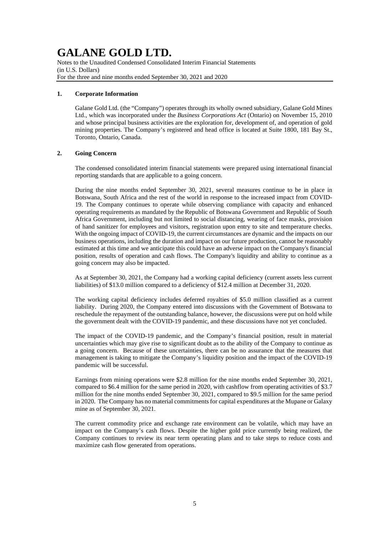Notes to the Unaudited Condensed Consolidated Interim Financial Statements (in U.S. Dollars) For the three and nine months ended September 30, 2021 and 2020

### **1. Corporate Information**

Galane Gold Ltd. (the "Company") operates through its wholly owned subsidiary, Galane Gold Mines Ltd., which was incorporated under the *Business Corporations Act* (Ontario) on November 15, 2010 and whose principal business activities are the exploration for, development of, and operation of gold mining properties. The Company's registered and head office is located at Suite 1800, 181 Bay St., Toronto, Ontario, Canada.

### **2. Going Concern**

The condensed consolidated interim financial statements were prepared using international financial reporting standards that are applicable to a going concern.

During the nine months ended September 30, 2021, several measures continue to be in place in Botswana, South Africa and the rest of the world in response to the increased impact from COVID-19. The Company continues to operate while observing compliance with capacity and enhanced operating requirements as mandated by the Republic of Botswana Government and Republic of South Africa Government, including but not limited to social distancing, wearing of face masks, provision of hand sanitizer for employees and visitors, registration upon entry to site and temperature checks. With the ongoing impact of COVID-19, the current circumstances are dynamic and the impacts on our business operations, including the duration and impact on our future production, cannot be reasonably estimated at this time and we anticipate this could have an adverse impact on the Company's financial position, results of operation and cash flows. The Company's liquidity and ability to continue as a going concern may also be impacted.

As at September 30, 2021, the Company had a working capital deficiency (current assets less current liabilities) of \$13.0 million compared to a deficiency of \$12.4 million at December 31, 2020.

The working capital deficiency includes deferred royalties of \$5.0 million classified as a current liability. During 2020, the Company entered into discussions with the Government of Botswana to reschedule the repayment of the outstanding balance, however, the discussions were put on hold while the government dealt with the COVID-19 pandemic, and these discussions have not yet concluded.

The impact of the COVID-19 pandemic, and the Company's financial position, result in material uncertainties which may give rise to significant doubt as to the ability of the Company to continue as a going concern. Because of these uncertainties, there can be no assurance that the measures that management is taking to mitigate the Company's liquidity position and the impact of the COVID-19 pandemic will be successful.

Earnings from mining operations were \$2.8 million for the nine months ended September 30, 2021, compared to \$6.4 million for the same period in 2020, with cashflow from operating activities of \$3.7 million for the nine months ended September 30, 2021, compared to \$9.5 million for the same period in 2020. The Company has no material commitments for capital expenditures at the Mupane or Galaxy mine as of September 30, 2021.

The current commodity price and exchange rate environment can be volatile, which may have an impact on the Company's cash flows. Despite the higher gold price currently being realized, the Company continues to review its near term operating plans and to take steps to reduce costs and maximize cash flow generated from operations.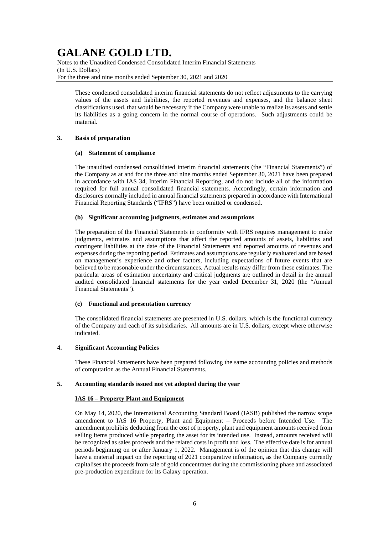Notes to the Unaudited Condensed Consolidated Interim Financial Statements (In U.S. Dollars) For the three and nine months ended September 30, 2021 and 2020

These condensed consolidated interim financial statements do not reflect adjustments to the carrying values of the assets and liabilities, the reported revenues and expenses, and the balance sheet classifications used, that would be necessary if the Company were unable to realize its assets and settle its liabilities as a going concern in the normal course of operations. Such adjustments could be material.

### **3. Basis of preparation**

### **(a) Statement of compliance**

The unaudited condensed consolidated interim financial statements (the "Financial Statements") of the Company as at and for the three and nine months ended September 30, 2021 have been prepared in accordance with IAS 34, Interim Financial Reporting, and do not include all of the information required for full annual consolidated financial statements. Accordingly, certain information and disclosures normally included in annual financial statements prepared in accordance with International Financial Reporting Standards ("IFRS") have been omitted or condensed.

### **(b) Significant accounting judgments, estimates and assumptions**

The preparation of the Financial Statements in conformity with IFRS requires management to make judgments, estimates and assumptions that affect the reported amounts of assets, liabilities and contingent liabilities at the date of the Financial Statements and reported amounts of revenues and expenses during the reporting period. Estimates and assumptions are regularly evaluated and are based on management's experience and other factors, including expectations of future events that are believed to be reasonable under the circumstances. Actual results may differ from these estimates. The particular areas of estimation uncertainty and critical judgments are outlined in detail in the annual audited consolidated financial statements for the year ended December 31, 2020 (the "Annual Financial Statements").

### **(c) Functional and presentation currency**

The consolidated financial statements are presented in U.S. dollars, which is the functional currency of the Company and each of its subsidiaries. All amounts are in U.S. dollars, except where otherwise indicated.

### **4. Significant Accounting Policies**

These Financial Statements have been prepared following the same accounting policies and methods of computation as the Annual Financial Statements.

### **5. Accounting standards issued not yet adopted during the year**

### **IAS 16 – Property Plant and Equipment**

On May 14, 2020, the International Accounting Standard Board (IASB) published the narrow scope amendment to IAS 16 Property, Plant and Equipment – Proceeds before Intended Use. The amendment prohibits deducting from the cost of property, plant and equipment amounts received from selling items produced while preparing the asset for its intended use. Instead, amounts received will be recognized as sales proceeds and the related costs in profit and loss. The effective date is for annual periods beginning on or after January 1, 2022. Management is of the opinion that this change will have a material impact on the reporting of 2021 comparative information, as the Company currently capitalises the proceeds from sale of gold concentrates during the commissioning phase and associated pre-production expenditure for its Galaxy operation.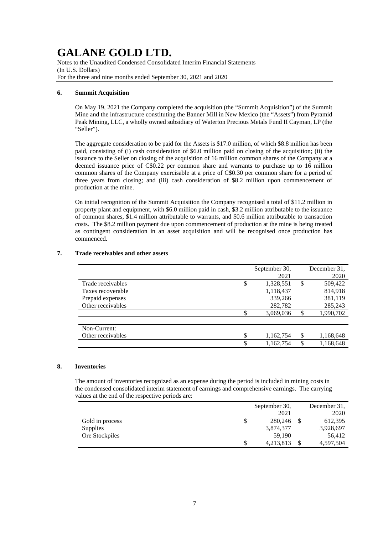Notes to the Unaudited Condensed Consolidated Interim Financial Statements (In U.S. Dollars) For the three and nine months ended September 30, 2021 and 2020

### **6. Summit Acquisition**

On May 19, 2021 the Company completed the acquisition (the "Summit Acquisition") of the Summit Mine and the infrastructure constituting the Banner Mill in New Mexico (the "Assets") from Pyramid Peak Mining, LLC, a wholly owned subsidiary of Waterton Precious Metals Fund II Cayman, LP (the "Seller").

The aggregate consideration to be paid for the Assets is \$17.0 million, of which \$8.8 million has been paid, consisting of (i) cash consideration of \$6.0 million paid on closing of the acquisition; (ii) the issuance to the Seller on closing of the acquisition of 16 million common shares of the Company at a deemed issuance price of C\$0.22 per common share and warrants to purchase up to 16 million common shares of the Company exercisable at a price of C\$0.30 per common share for a period of three years from closing; and (iii) cash consideration of \$8.2 million upon commencement of production at the mine.

On initial recognition of the Summit Acquisition the Company recognised a total of \$11.2 million in property plant and equipment, with \$6.0 million paid in cash, \$3.2 million attributable to the issuance of common shares, \$1.4 million attributable to warrants, and \$0.6 million attributable to transaction costs. The \$8.2 million payment due upon commencement of production at the mine is being treated as contingent consideration in an asset acquisition and will be recognised once production has commenced.

|                   | September 30,<br>2021 | December 31,<br>2020 |
|-------------------|-----------------------|----------------------|
| Trade receivables | \$<br>1,328,551       | \$<br>509,422        |
| Taxes recoverable | 1,118,437             | 814,918              |
| Prepaid expenses  | 339,266               | 381,119              |
| Other receivables | 282,782               | 285,243              |
|                   | \$<br>3,069,036       | \$<br>1,990,702      |
| Non-Current:      |                       |                      |
| Other receivables | \$<br>1,162,754       | \$<br>1,168,648      |
|                   | \$<br>1,162,754       | \$<br>1,168,648      |

### **7. Trade receivables and other assets**

### **8. Inventories**

The amount of inventories recognized as an expense during the period is included in mining costs in the condensed consolidated interim statement of earnings and comprehensive earnings. The carrying values at the end of the respective periods are:

|                 | September 30,   | December 31, |
|-----------------|-----------------|--------------|
|                 | 2021            | 2020         |
| Gold in process | \$<br>280,246   | 612,395      |
| <b>Supplies</b> | 3,874,377       | 3,928,697    |
| Ore Stockpiles  | 59.190          | 56.412       |
|                 | \$<br>4,213,813 | 4,597,504    |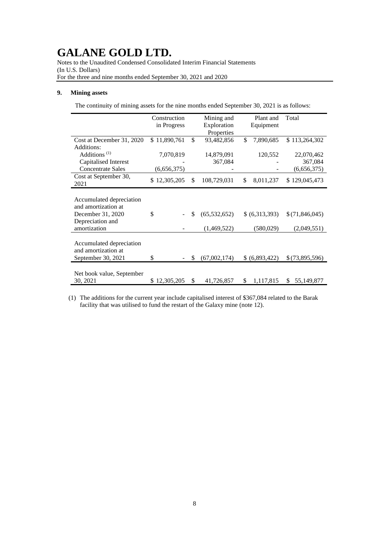Notes to the Unaudited Condensed Consolidated Interim Financial Statements (In U.S. Dollars) For the three and nine months ended September 30, 2021 and 2020

### **9. Mining assets**

The continuity of mining assets for the nine months ended September 30, 2021 is as follows:

|                           | Construction |     | Mining and     | Plant and       | Total            |
|---------------------------|--------------|-----|----------------|-----------------|------------------|
|                           | in Progress  |     | Exploration    | Equipment       |                  |
|                           |              |     | Properties     |                 |                  |
| Cost at December 31, 2020 | \$11,890,761 | \$  | 93,482,856     | \$<br>7,890,685 | \$113,264,302    |
| Additions:                |              |     |                |                 |                  |
| Additions <sup>(1)</sup>  | 7,070,819    |     | 14,879,091     | 120,552         | 22,070,462       |
| Capitalised Interest      |              |     | 367,084        |                 | 367,084          |
| <b>Concentrate Sales</b>  | (6,656,375)  |     |                |                 | (6,656,375)      |
| Cost at September 30,     | \$12,305,205 | \$. | 108,729,031    | \$<br>8,011,237 | \$129,045,473    |
| 2021                      |              |     |                |                 |                  |
|                           |              |     |                |                 |                  |
| Accumulated depreciation  |              |     |                |                 |                  |
| and amortization at       |              |     |                |                 |                  |
| December 31, 2020         | \$           | \$  | (65, 532, 652) | \$(6,313,393)   | \$(71,846,045)   |
| Depreciation and          |              |     |                |                 |                  |
| amortization              |              |     | (1,469,522)    | (580, 029)      | (2,049,551)      |
|                           |              |     |                |                 |                  |
| Accumulated depreciation  |              |     |                |                 |                  |
| and amortization at       |              |     |                |                 |                  |
| September 30, 2021        | \$           | S   | (67,002,174)   | \$ (6,893,422)  | \$(73,895,596)   |
|                           |              |     |                |                 |                  |
| Net book value, September |              |     |                |                 |                  |
| 30, 2021                  | \$12,305,205 | \$  | 41,726,857     | \$<br>1,117,815 | \$<br>55,149,877 |

(1) The additions for the current year include capitalised interest of \$367,084 related to the Barak facility that was utilised to fund the restart of the Galaxy mine (note 12).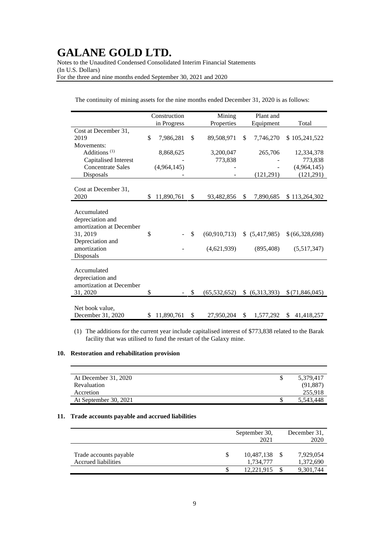Notes to the Unaudited Condensed Consolidated Interim Financial Statements (In U.S. Dollars) For the three and nine months ended September 30, 2021 and 2020

|                          |     | Construction | Mining               |    | Plant and      |                            |
|--------------------------|-----|--------------|----------------------|----|----------------|----------------------------|
|                          |     | in Progress  | Properties           |    | Equipment      | Total                      |
| Cost at December 31,     |     |              |                      |    |                |                            |
| 2019                     | \$  | 7,986,281    | \$<br>89,508,971     | \$ | 7,746,270      | \$105,241,522              |
| Movements:               |     |              |                      |    |                |                            |
| Additions <sup>(1)</sup> |     | 8,868,625    | 3,200,047            |    | 265,706        | 12,334,378                 |
| Capitalised Interest     |     |              | 773,838              |    |                | 773,838                    |
| <b>Concentrate Sales</b> |     | (4,964,145)  |                      |    |                | (4,964,145)                |
| Disposals                |     |              |                      |    | (121, 291)     | (121,291)                  |
|                          |     |              |                      |    |                |                            |
| Cost at December 31.     |     |              |                      |    |                |                            |
| 2020                     | \$. | 11,890,761   | \$<br>93,482,856     | S. | 7,890,685      | \$113,264,302              |
|                          |     |              |                      |    |                |                            |
| Accumulated              |     |              |                      |    |                |                            |
| depreciation and         |     |              |                      |    |                |                            |
| amortization at December |     |              |                      |    |                |                            |
| 31, 2019                 | \$  |              | \$<br>(60, 910, 713) |    | \$ (5,417,985) | \$(66,328,698)             |
| Depreciation and         |     |              |                      |    |                |                            |
| amortization             |     |              | (4,621,939)          |    | (895, 408)     | (5,517,347)                |
| Disposals                |     |              |                      |    |                |                            |
|                          |     |              |                      |    |                |                            |
| Accumulated              |     |              |                      |    |                |                            |
|                          |     |              |                      |    |                |                            |
| depreciation and         |     |              |                      |    |                |                            |
| amortization at December |     |              |                      |    |                |                            |
| 31, 2020                 | \$  |              | \$<br>(65, 532, 652) |    | (6,313,393)    | \$(71,846,045)             |
|                          |     |              |                      |    |                |                            |
| Net book value,          |     |              |                      |    |                |                            |
| December 31, 2020        | \$  | 11,890,761   | \$<br>27,950,204     | \$ | 1,577,292      | $\mathbb{S}$<br>41,418,257 |

The continuity of mining assets for the nine months ended December 31, 2020 is as follows:

(1) The additions for the current year include capitalised interest of \$773,838 related to the Barak facility that was utilised to fund the restart of the Galaxy mine.

### **10. Restoration and rehabilitation provision**

| At December 31, 2020  | 5,379,417 |
|-----------------------|-----------|
| Revaluation           | (91,887)  |
| Accretion             | 255,918   |
| At September 30, 2021 | 5,543,448 |

### **11. Trade accounts payable and accrued liabilities**

|                                               | September 30,<br>2021   | December 31.<br>2020   |
|-----------------------------------------------|-------------------------|------------------------|
| Trade accounts payable<br>Accrued liabilities | 10,487,138<br>1,734,777 | 7,929,054<br>1,372,690 |
|                                               | 12.221.915              | 9.301.744              |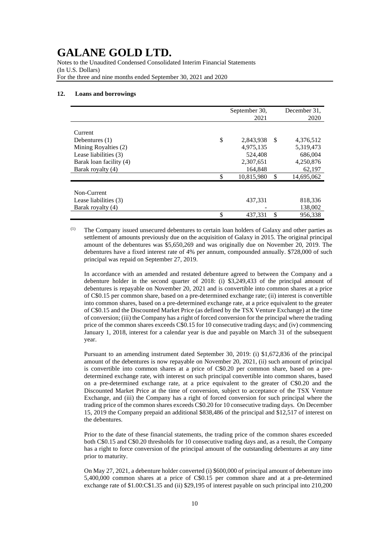Notes to the Unaudited Condensed Consolidated Interim Financial Statements (In U.S. Dollars) For the three and nine months ended September 30, 2021 and 2020

#### **12. Loans and borrowings**

|                         | September 30, |    | December 31, |
|-------------------------|---------------|----|--------------|
|                         | 2021          |    | 2020         |
|                         |               |    |              |
| Current                 |               |    |              |
| \$<br>Debentures $(1)$  | 2,843,938     | -S | 4,376,512    |
| Mining Royalties (2)    | 4.975.135     |    | 5,319,473    |
| Lease liabilities (3)   | 524,408       |    | 686,004      |
| Barak loan facility (4) | 2,307,651     |    | 4,250,876    |
| Barak royalty (4)       | 164,848       |    | 62,197       |
| \$                      | 10,815,980    | \$ | 14,695,062   |
|                         |               |    |              |
| Non-Current             |               |    |              |
| Lease liabilities (3)   | 437,331       |    | 818,336      |
| Barak royalty (4)       |               |    | 138,002      |
| \$                      | 437.331       | \$ | 956,338      |

(1) The Company issued unsecured debentures to certain loan holders of Galaxy and other parties as settlement of amounts previously due on the acquisition of Galaxy in 2015. The original principal amount of the debentures was \$5,650,269 and was originally due on November 20, 2019. The debentures have a fixed interest rate of 4% per annum, compounded annually. \$728,000 of such principal was repaid on September 27, 2019.

In accordance with an amended and restated debenture agreed to between the Company and a debenture holder in the second quarter of 2018: (i) \$3,249,433 of the principal amount of debentures is repayable on November 20, 2021 and is convertible into common shares at a price of C\$0.15 per common share, based on a pre-determined exchange rate; (ii) interest is convertible into common shares, based on a pre-determined exchange rate, at a price equivalent to the greater of C\$0.15 and the Discounted Market Price (as defined by the TSX Venture Exchange) at the time of conversion; (iii) the Company has a right of forced conversion for the principal where the trading price of the common shares exceeds C\$0.15 for 10 consecutive trading days; and (iv) commencing January 1, 2018, interest for a calendar year is due and payable on March 31 of the subsequent year.

Pursuant to an amending instrument dated September 30, 2019: (i) \$1,672,836 of the principal amount of the debentures is now repayable on November 20, 2021, (ii) such amount of principal is convertible into common shares at a price of C\$0.20 per common share, based on a predetermined exchange rate, with interest on such principal convertible into common shares, based on a pre-determined exchange rate, at a price equivalent to the greater of C\$0.20 and the Discounted Market Price at the time of conversion, subject to acceptance of the TSX Venture Exchange, and (iii) the Company has a right of forced conversion for such principal where the trading price of the common shares exceeds C\$0.20 for 10 consecutive trading days. On December 15, 2019 the Company prepaid an additional \$838,486 of the principal and \$12,517 of interest on the debentures.

Prior to the date of these financial statements, the trading price of the common shares exceeded both C\$0.15 and C\$0.20 thresholds for 10 consecutive trading days and, as a result, the Company has a right to force conversion of the principal amount of the outstanding debentures at any time prior to maturity.

On May 27, 2021, a debenture holder converted (i) \$600,000 of principal amount of debenture into 5,400,000 common shares at a price of C\$0.15 per common share and at a pre-determined exchange rate of \$1.00:C\$1.35 and (ii) \$29,195 of interest payable on such principal into 210,200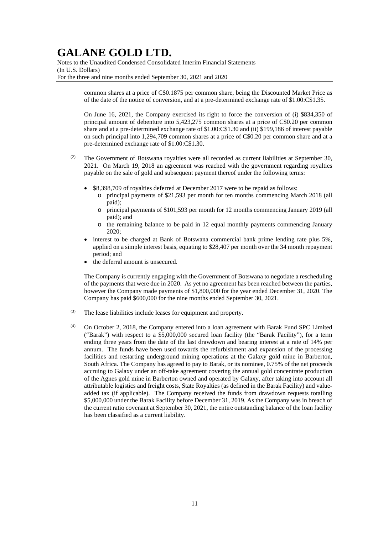Notes to the Unaudited Condensed Consolidated Interim Financial Statements (In U.S. Dollars) For the three and nine months ended September 30, 2021 and 2020

> common shares at a price of C\$0.1875 per common share, being the Discounted Market Price as of the date of the notice of conversion, and at a pre-determined exchange rate of \$1.00:C\$1.35.

> On June 16, 2021, the Company exercised its right to force the conversion of (i) \$834,350 of principal amount of debenture into 5,423,275 common shares at a price of C\$0.20 per common share and at a pre-determined exchange rate of \$1.00:C\$1.30 and (ii) \$199,186 of interest payable on such principal into 1,294,709 common shares at a price of C\$0.20 per common share and at a pre-determined exchange rate of \$1.00:C\$1.30.

- (2) The Government of Botswana royalties were all recorded as current liabilities at September 30, 2021. On March 19, 2018 an agreement was reached with the government regarding royalties payable on the sale of gold and subsequent payment thereof under the following terms:
	- \$8,398,709 of royalties deferred at December 2017 were to be repaid as follows:
		- o principal payments of \$21,593 per month for ten months commencing March 2018 (all paid);
		- o principal payments of \$101,593 per month for 12 months commencing January 2019 (all paid); and
		- o the remaining balance to be paid in 12 equal monthly payments commencing January 2020;
	- interest to be charged at Bank of Botswana commercial bank prime lending rate plus 5%, applied on a simple interest basis, equating to \$28,407 per month over the 34 month repayment period; and
	- the deferral amount is unsecured.

The Company is currently engaging with the Government of Botswana to negotiate a rescheduling of the payments that were due in 2020. As yet no agreement has been reached between the parties, however the Company made payments of \$1,800,000 for the year ended December 31, 2020. The Company has paid \$600,000 for the nine months ended September 30, 2021.

- (3) The lease liabilities include leases for equipment and property.
- (4) On October 2, 2018, the Company entered into a loan agreement with Barak Fund SPC Limited ("Barak") with respect to a \$5,000,000 secured loan facility (the "Barak Facility"), for a term ending three years from the date of the last drawdown and bearing interest at a rate of 14% per annum. The funds have been used towards the refurbishment and expansion of the processing facilities and restarting underground mining operations at the Galaxy gold mine in Barberton, South Africa. The Company has agreed to pay to Barak, or its nominee, 0.75% of the net proceeds accruing to Galaxy under an off-take agreement covering the annual gold concentrate production of the Agnes gold mine in Barberton owned and operated by Galaxy, after taking into account all attributable logistics and freight costs, State Royalties (as defined in the Barak Facility) and valueadded tax (if applicable). The Company received the funds from drawdown requests totalling \$5,000,000 under the Barak Facility before December 31, 2019. As the Company was in breach of the current ratio covenant at September 30, 2021, the entire outstanding balance of the loan facility has been classified as a current liability.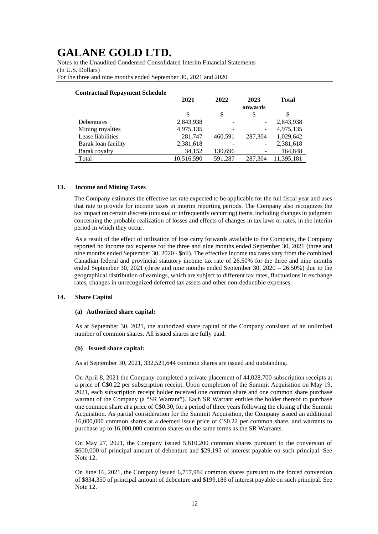Notes to the Unaudited Condensed Consolidated Interim Financial Statements (In U.S. Dollars) For the three and nine months ended September 30, 2021 and 2020

| <b>Contractual Repayment Schedule</b> |            |         |                 |              |
|---------------------------------------|------------|---------|-----------------|--------------|
|                                       | 2021       | 2022    | 2023<br>onwards | <b>Total</b> |
|                                       | S          | \$      | S               | \$           |
| <b>Debentures</b>                     | 2,843,938  |         |                 | 2,843,938    |
| Mining royalties                      | 4,975,135  |         |                 | 4,975,135    |
| Lease liabilities                     | 281,747    | 460.591 | 287,304         | 1,029,642    |
| Barak loan facility                   | 2,381,618  |         |                 | 2,381,618    |
| Barak royalty                         | 34,152     | 130,696 |                 | 164,848      |
| Total                                 | 10,516,590 | 591,287 | 287.304         | 11.395.181   |

### **Contractual Repayment Schedule**

### **13. Income and Mining Taxes**

The Company estimates the effective tax rate expected to be applicable for the full fiscal year and uses that rate to provide for income taxes in interim reporting periods. The Company also recognizes the tax impact on certain discrete (unusual or infrequently occurring) items, including changes in judgment concerning the probable realization of losses and effects of changes in tax laws or rates, in the interim period in which they occur.

As a result of the effect of utilization of loss carry forwards available to the Company, the Company reported no income tax expense for the three and nine months ended September 30, 2021 (three and nine months ended September 30, 2020 - \$nil). The effective income tax rates vary from the combined Canadian federal and provincial statutory income tax rate of 26.50% for the three and nine months ended September 30, 2021 (three and nine months ended September 30,  $2020 - 26.50\%$ ) due to the geographical distribution of earnings, which are subject to different tax rates, fluctuations in exchange rates, changes in unrecognized deferred tax assets and other non-deductible expenses.

### **14. Share Capital**

### **(a) Authorized share capital:**

As at September 30, 2021, the authorized share capital of the Company consisted of an unlimited number of common shares. All issued shares are fully paid.

#### **(b) Issued share capital:**

As at September 30, 2021, 332,521,644 common shares are issued and outstanding.

On April 8, 2021 the Company completed a private placement of 44,028,700 subscription receipts at a price of C\$0.22 per subscription receipt. Upon completion of the Summit Acquisition on May 19, 2021, each subscription receipt holder received one common share and one common share purchase warrant of the Company (a "SR Warrant"). Each SR Warrant entitles the holder thereof to purchase one common share at a price of C\$0.30, for a period of three years following the closing of the Summit Acquisition. As partial consideration for the Summit Acquisition, the Company issued an additional 16,000,000 common shares at a deemed issue price of C\$0.22 per common share, and warrants to purchase up to 16,000,000 common shares on the same terms as the SR Warrants.

On May 27, 2021, the Company issued 5,610,200 common shares pursuant to the conversion of \$600,000 of principal amount of debenture and \$29,195 of interest payable on such principal. See Note 12.

On June 16, 2021, the Company issued 6,717,984 common shares pursuant to the forced conversion of \$834,350 of principal amount of debenture and \$199,186 of interest payable on such principal. See Note 12.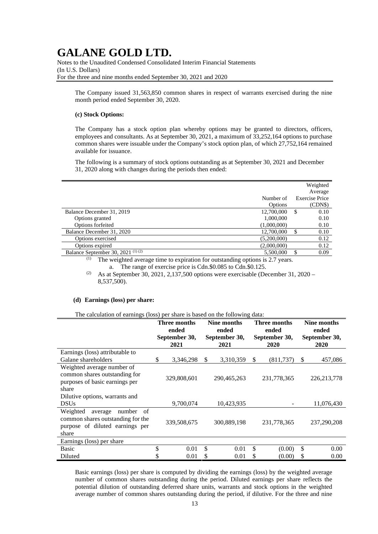Notes to the Unaudited Condensed Consolidated Interim Financial Statements (In U.S. Dollars) For the three and nine months ended September 30, 2021 and 2020

The Company issued 31,563,850 common shares in respect of warrants exercised during the nine month period ended September 30, 2020.

### **(c) Stock Options:**

The Company has a stock option plan whereby options may be granted to directors, officers, employees and consultants. As at September 30, 2021, a maximum of 33,252,164 options to purchase common shares were issuable under the Company's stock option plan, of which 27,752,164 remained available for issuance.

The following is a summary of stock options outstanding as at September 30, 2021 and December 31, 2020 along with changes during the periods then ended:

|                                              |             |    | Weighted              |
|----------------------------------------------|-------------|----|-----------------------|
|                                              |             |    | Average               |
|                                              | Number of   |    | <b>Exercise Price</b> |
|                                              | Options     |    | (CDN\$)               |
| Balance December 31, 2019                    | 12,700,000  | S  | 0.10                  |
| Options granted                              | 1,000,000   |    | 0.10                  |
| Options forfeited                            | (1,000,000) |    | 0.10                  |
| Balance December 31, 2020                    | 12,700,000  |    | 0.10                  |
| Options exercised                            | (5,200,000) |    | 0.12                  |
| Options expired                              | (2,000,000) |    | 0.12                  |
| Balance September 30, 2021 <sup>(1)(2)</sup> | 5.500,000   | £. | 0.09                  |

 $(1)$  The weighted average time to expiration for outstanding options is 2.7 years. a. The range of exercise price is Cdn.\$0.085 to Cdn.\$0.125.

<sup>(2)</sup> As at September 30, 2021, 2,137,500 options were exercisable (December 31, 2020 – 8,537,500).

#### **(d) Earnings (loss) per share:**

The calculation of earnings (loss) per share is based on the following data:

|                                                                                                                      | Three months<br>ended |                       | Nine months<br>ended  |             | <b>Three months</b><br>ended |             | Nine months<br>ended  |               |
|----------------------------------------------------------------------------------------------------------------------|-----------------------|-----------------------|-----------------------|-------------|------------------------------|-------------|-----------------------|---------------|
|                                                                                                                      |                       | September 30,<br>2021 | September 30,<br>2021 |             | September 30,<br>2020        |             | September 30,<br>2020 |               |
| Earnings (loss) attributable to                                                                                      |                       |                       |                       |             |                              |             |                       |               |
| Galane shareholders                                                                                                  | \$                    | 3,346,298             | S                     | 3,310,359   | \$                           | (811, 737)  | \$                    | 457,086       |
| Weighted average number of<br>common shares outstanding for<br>purposes of basic earnings per<br>share               |                       | 329,808,601           |                       | 290,465,263 |                              | 231,778,365 |                       | 226, 213, 778 |
| Dilutive options, warrants and<br><b>DSUs</b>                                                                        |                       | 9,700,074             |                       | 10,423,935  |                              |             |                       | 11,076,430    |
| Weighted<br>of<br>number<br>average<br>common shares outstanding for the<br>purpose of diluted earnings per<br>share |                       | 339,508,675           |                       | 300,889,198 |                              | 231,778,365 |                       | 237,290,208   |
| Earnings (loss) per share                                                                                            |                       |                       |                       |             |                              |             |                       |               |
| <b>Basic</b>                                                                                                         | \$                    | 0.01                  | \$                    | 0.01        | \$                           | (0.00)      | \$                    | 0.00          |
| Diluted                                                                                                              |                       | 0.01                  | \$                    | 0.01        |                              | (0.00)      | S                     | 0.00          |

Basic earnings (loss) per share is computed by dividing the earnings (loss) by the weighted average number of common shares outstanding during the period. Diluted earnings per share reflects the potential dilution of outstanding deferred share units, warrants and stock options in the weighted average number of common shares outstanding during the period, if dilutive. For the three and nine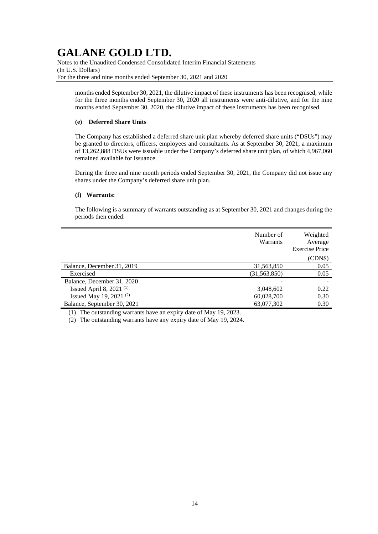Notes to the Unaudited Condensed Consolidated Interim Financial Statements (In U.S. Dollars) For the three and nine months ended September 30, 2021 and 2020

months ended September 30, 2021, the dilutive impact of these instruments has been recognised, while for the three months ended September 30, 2020 all instruments were anti-dilutive, and for the nine months ended September 30, 2020, the dilutive impact of these instruments has been recognised.

### **(e) Deferred Share Units**

The Company has established a deferred share unit plan whereby deferred share units ("DSUs") may be granted to directors, officers, employees and consultants. As at September 30, 2021, a maximum of 13,262,888 DSUs were issuable under the Company's deferred share unit plan, of which 4,967,060 remained available for issuance.

During the three and nine month periods ended September 30, 2021, the Company did not issue any shares under the Company's deferred share unit plan.

### **(f) Warrants:**

The following is a summary of warrants outstanding as at September 30, 2021 and changes during the periods then ended:

|                                     | Number of<br>Warrants | Weighted<br>Average<br><b>Exercise Price</b> |
|-------------------------------------|-----------------------|----------------------------------------------|
|                                     |                       | (CDN\$)                                      |
| Balance, December 31, 2019          | 31,563,850            | 0.05                                         |
| Exercised                           | (31, 563, 850)        | 0.05                                         |
| Balance, December 31, 2020          |                       |                                              |
| Issued April 8, 2021 <sup>(1)</sup> | 3,048,602             | 0.22                                         |
| Issued May 19, 2021 $(2)$           | 60,028,700            | 0.30                                         |
| Balance, September 30, 2021         | 63,077,302            | 0.30                                         |

(1) The outstanding warrants have an expiry date of May 19, 2023.

(2) The outstanding warrants have any expiry date of May 19, 2024.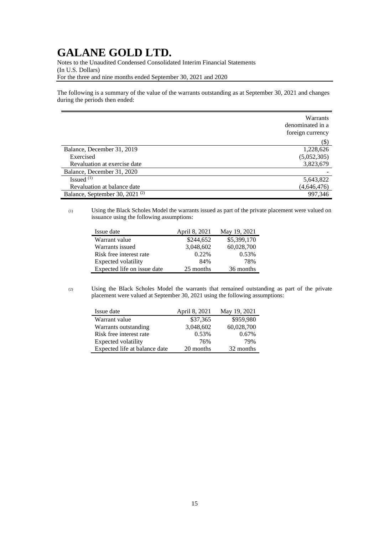Notes to the Unaudited Condensed Consolidated Interim Financial Statements (In U.S. Dollars) For the three and nine months ended September 30, 2021 and 2020

The following is a summary of the value of the warrants outstanding as at September 30, 2021 and changes during the periods then ended:

|                                            | Warrants<br>denominated in a<br>foreign currency |
|--------------------------------------------|--------------------------------------------------|
|                                            | $(\$)$                                           |
| Balance, December 31, 2019                 | 1,228,626                                        |
| Exercised                                  | (5,052,305)                                      |
| Revaluation at exercise date               | 3,823,679                                        |
| Balance, December 31, 2020                 |                                                  |
| Issued $(1)$                               | 5,643,822                                        |
| Revaluation at balance date                | (4, 646, 476)                                    |
| Balance, September 30, 2021 <sup>(2)</sup> | 997,346                                          |

### (1) Using the Black Scholes Model the warrants issued as part of the private placement were valued on issuance using the following assumptions:

| Issue date                  | April 8, 2021 | May 19, 2021 |
|-----------------------------|---------------|--------------|
| Warrant value               | \$244,652     | \$5,399,170  |
| Warrants issued             | 3,048,602     | 60,028,700   |
| Risk free interest rate     | 0.22%         | 0.53%        |
| Expected volatility         | 84%           | 78%          |
| Expected life on issue date | 25 months     | 36 months    |

(2) Using the Black Scholes Model the warrants that remained outstanding as part of the private placement were valued at September 30, 2021 using the following assumptions:

| Issue date                    | April 8, 2021 | May 19, 2021 |
|-------------------------------|---------------|--------------|
| Warrant value                 | \$37,365      | \$959,980    |
| Warrants outstanding          | 3,048,602     | 60,028,700   |
| Risk free interest rate       | 0.53%         | 0.67%        |
| Expected volatility           | 76%           | 79%          |
| Expected life at balance date | 20 months     | 32 months    |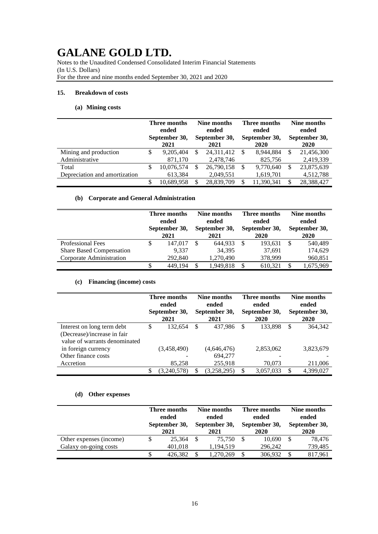Notes to the Unaudited Condensed Consolidated Interim Financial Statements (In U.S. Dollars) For the three and nine months ended September 30, 2021 and 2020

### **15. Breakdown of costs**

### **(a) Mining costs**

|                               | Three months<br>ended<br>September 30,<br>2021 |   | Nine months<br>Three months<br>ended<br>ended<br>September 30,<br>September 30,<br>2020<br>2021 |    | Nine months<br>ended<br>September 30,<br>2020 |            |
|-------------------------------|------------------------------------------------|---|-------------------------------------------------------------------------------------------------|----|-----------------------------------------------|------------|
| Mining and production         | 9,205,404                                      | S | 24,311,412                                                                                      | -S | 8.944.884                                     | 21,456,300 |
| Administrative                | 871.170                                        |   | 2,478,746                                                                                       |    | 825,756                                       | 2,419,339  |
| Total                         | 10,076,574                                     | S | 26,790,158                                                                                      | -S | 9.770.640                                     | 23,875,639 |
| Depreciation and amortization | 613,384                                        |   | 2,049,551                                                                                       |    | 1,619,701                                     | 4,512,788  |
|                               | 10.689.958                                     | S | 28.839.709                                                                                      | S  | 11.390.341                                    | 28,388,427 |

### **(b) Corporate and General Administration**

|                                 |   | Three months<br>ended<br>September 30,<br>2021 |     | Nine months<br>ended<br>September 30,<br>2021 |   | Three months<br>ended<br>September 30,<br>2020 | Nine months<br>ended<br>September 30,<br>2020 |           |
|---------------------------------|---|------------------------------------------------|-----|-----------------------------------------------|---|------------------------------------------------|-----------------------------------------------|-----------|
| <b>Professional Fees</b>        | S | 147,017                                        | -S  | 644.933                                       | S | 193.631                                        |                                               | 540,489   |
| <b>Share Based Compensation</b> |   | 9.337                                          |     | 34,395                                        |   | 37,691                                         |                                               | 174,629   |
| Corporate Administration        |   | 292,840                                        |     | 1,270,490                                     |   | 378,999                                        |                                               | 960,851   |
|                                 |   | 449.194                                        | \$. | 1,949,818                                     | S | 610,321                                        |                                               | 1,675,969 |

### **(c) Financing (income) costs**

|                               | Three months<br>ended<br>September 30,<br>2021 |             |   | Nine months<br>ended<br>September 30,<br>2021 | Three months<br>ended<br>September 30,<br>2020 | Nine months<br>ended<br>September 30,<br>2020 |           |  |
|-------------------------------|------------------------------------------------|-------------|---|-----------------------------------------------|------------------------------------------------|-----------------------------------------------|-----------|--|
| Interest on long term debt    | \$                                             | 132,654     | S | 437.986                                       | \$<br>133,898                                  | \$                                            | 364,342   |  |
| (Decrease)/increase in fair   |                                                |             |   |                                               |                                                |                                               |           |  |
| value of warrants denominated |                                                |             |   |                                               |                                                |                                               |           |  |
| in foreign currency           |                                                | (3,458,490) |   | (4,646,476)                                   | 2,853,062                                      |                                               | 3,823,679 |  |
| Other finance costs           |                                                |             |   | 694.277                                       |                                                |                                               |           |  |
| Accretion                     |                                                | 85,258      |   | 255,918                                       | 70,073                                         |                                               | 211,006   |  |
|                               | \$                                             | (3,240,578) | S | (3,258,295)                                   | \$<br>3,057,033                                |                                               | 4,399,027 |  |

### **(d) Other expenses**

|                         | Three months  |         | Nine months   |           |  | Three months  | Nine months   |             |       |  |
|-------------------------|---------------|---------|---------------|-----------|--|---------------|---------------|-------------|-------|--|
|                         |               | ended   |               | ended     |  |               |               | ended       | ended |  |
|                         | September 30, |         | September 30, |           |  | September 30, | September 30, |             |       |  |
|                         |               | 2021    |               | 2021      |  | 2020          |               | <b>2020</b> |       |  |
| Other expenses (income) |               | 25.364  | -S            | 75.750    |  | 10.690        |               | 78.476      |       |  |
| Galaxy on-going costs   |               | 401.018 |               | 1,194,519 |  | 296,242       |               | 739,485     |       |  |
|                         |               | 426.382 | S             | 1,270,269 |  | 306,932       |               | 817,961     |       |  |